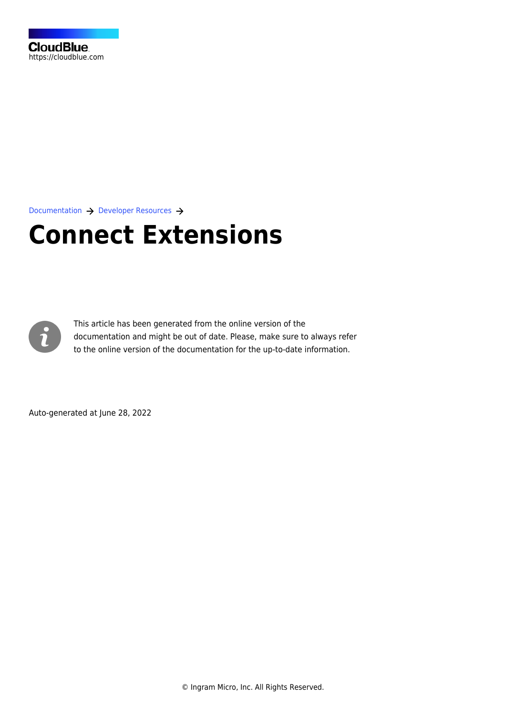

[Documentation](https://connect.cloudblue.com/documentation)  $\rightarrow$  [Developer Resources](https://connect.cloudblue.com/community/developers/)  $\rightarrow$ 

# **[Connect Extensions](https://connect.cloudblue.com/community/developers/extensions/)**



This article has been generated from the online version of the documentation and might be out of date. Please, make sure to always refer to the online version of the documentation for the up-to-date information.

Auto-generated at June 28, 2022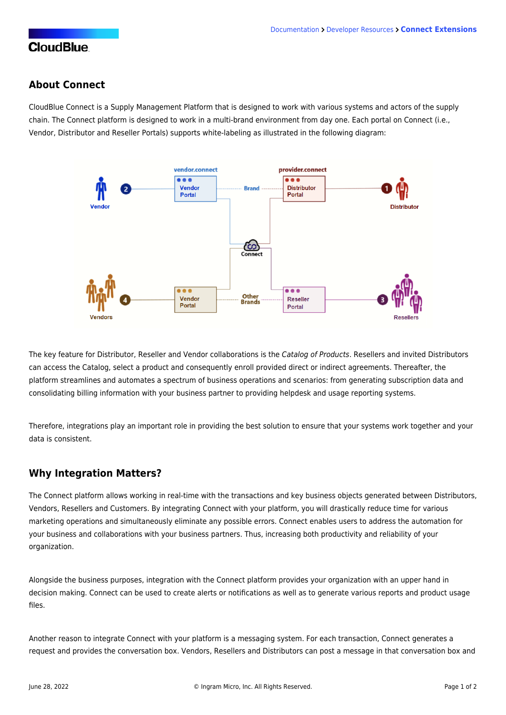### **CloudBlue**

#### **About Connect**

CloudBlue Connect is a Supply Management Platform that is designed to work with various systems and actors of the supply chain. The Connect platform is designed to work in a multi-brand environment from day one. Each portal on Connect (i.e., Vendor, Distributor and Reseller Portals) supports white-labeling as illustrated in the following diagram:



The key feature for Distributor, Reseller and Vendor collaborations is the Catalog of Products. Resellers and invited Distributors can access the Catalog, select a product and consequently enroll provided direct or indirect agreements. Thereafter, the platform streamlines and automates a spectrum of business operations and scenarios: from generating subscription data and consolidating billing information with your business partner to providing helpdesk and usage reporting systems.

Therefore, integrations play an important role in providing the best solution to ensure that your systems work together and your data is consistent.

#### **Why Integration Matters?**

The Connect platform allows working in real-time with the transactions and key business objects generated between Distributors, Vendors, Resellers and Customers. By integrating Connect with your platform, you will drastically reduce time for various marketing operations and simultaneously eliminate any possible errors. Connect enables users to address the automation for your business and collaborations with your business partners. Thus, increasing both productivity and reliability of your organization.

Alongside the business purposes, integration with the Connect platform provides your organization with an upper hand in decision making. Connect can be used to create alerts or notifications as well as to generate various reports and product usage files.

Another reason to integrate Connect with your platform is a messaging system. For each transaction, Connect generates a request and provides the conversation box. Vendors, Resellers and Distributors can post a message in that conversation box and